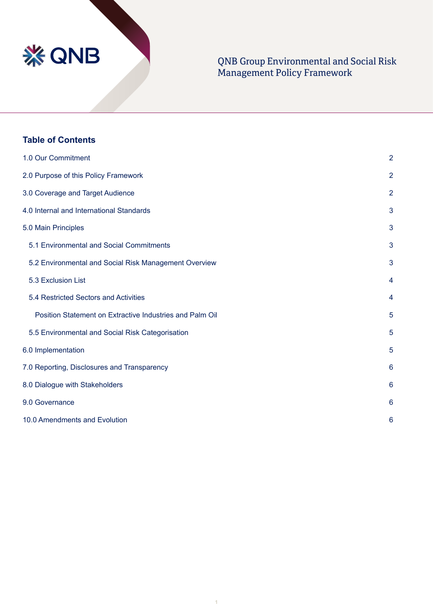

# QNB Group Environmental and Social Risk Management Policy Framework

| <b>Table of Contents</b>                                 |                |  |
|----------------------------------------------------------|----------------|--|
| 1.0 Our Commitment                                       | $\overline{2}$ |  |
| 2.0 Purpose of this Policy Framework                     | $\overline{2}$ |  |
| 3.0 Coverage and Target Audience                         | $\overline{2}$ |  |
| 4.0 Internal and International Standards                 | 3              |  |
| 5.0 Main Principles                                      | 3              |  |
| 5.1 Environmental and Social Commitments                 | 3              |  |
| 5.2 Environmental and Social Risk Management Overview    | 3              |  |
| 5.3 Exclusion List                                       | 4              |  |
| 5.4 Restricted Sectors and Activities                    | 4              |  |
| Position Statement on Extractive Industries and Palm Oil | 5              |  |
| 5.5 Environmental and Social Risk Categorisation         | 5              |  |
| 6.0 Implementation                                       | 5              |  |
| 7.0 Reporting, Disclosures and Transparency              | 6              |  |
| 8.0 Dialogue with Stakeholders                           |                |  |
| 9.0 Governance                                           | 6              |  |
| 10.0 Amendments and Evolution                            | 6              |  |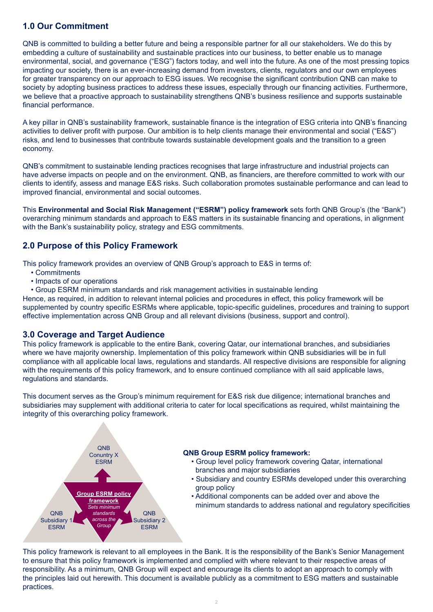# **1.0 Our Commitment**

QNB is committed to building a better future and being a responsible partner for all our stakeholders. We do this by embedding a culture of sustainability and sustainable practices into our business, to better enable us to manage environmental, social, and governance ("ESG") factors today, and well into the future. As one of the most pressing topics impacting our society, there is an ever-increasing demand from investors, clients, regulators and our own employees for greater transparency on our approach to ESG issues. We recognise the significant contribution QNB can make to society by adopting business practices to address these issues, especially through our financing activities. Furthermore, we believe that a proactive approach to sustainability strengthens QNB's business resilience and supports sustainable financial performance.

A key pillar in QNB's sustainability framework, sustainable finance is the integration of ESG criteria into QNB's financing activities to deliver profit with purpose. Our ambition is to help clients manage their environmental and social ("E&S") risks, and lend to businesses that contribute towards sustainable development goals and the transition to a green economy.

QNB's commitment to sustainable lending practices recognises that large infrastructure and industrial projects can have adverse impacts on people and on the environment. QNB, as financiers, are therefore committed to work with our clients to identify, assess and manage E&S risks. Such collaboration promotes sustainable performance and can lead to improved financial, environmental and social outcomes.

This **Environmental and Social Risk Management ("ESRM") policy framework** sets forth QNB Group's (the "Bank") overarching minimum standards and approach to E&S matters in its sustainable financing and operations, in alignment with the Bank's sustainability policy, strategy and ESG commitments.

# **2.0 Purpose of this Policy Framework**

This policy framework provides an overview of QNB Group's approach to E&S in terms of:

- Commitments
- Impacts of our operations
- Group ESRM minimum standards and risk management activities in sustainable lending

Hence, as required, in addition to relevant internal policies and procedures in effect, this policy framework will be supplemented by country specific ESRMs where applicable, topic-specific guidelines, procedures and training to support effective implementation across QNB Group and all relevant divisions (business, support and control).

### **3.0 Coverage and Target Audience**

This policy framework is applicable to the entire Bank, covering Qatar, our international branches, and subsidiaries where we have majority ownership. Implementation of this policy framework within QNB subsidiaries will be in full compliance with all applicable local laws, regulations and standards. All respective divisions are responsible for aligning with the requirements of this policy framework, and to ensure continued compliance with all said applicable laws, regulations and standards.

This document serves as the Group's minimum requirement for E&S risk due diligence; international branches and subsidiaries may supplement with additional criteria to cater for local specifications as required, whilst maintaining the integrity of this overarching policy framework.



#### **QNB Group ESRM policy framework:**

- Group level policy framework covering Qatar, international branches and major subsidiaries
- Subsidiary and country ESRMs developed under this overarching group policy
- Additional components can be added over and above the minimum standards to address national and regulatory specificities

This policy framework is relevant to all employees in the Bank. It is the responsibility of the Bank's Senior Management to ensure that this policy framework is implemented and complied with where relevant to their respective areas of responsibility. As a minimum, QNB Group will expect and encourage its clients to adopt an approach to comply with the principles laid out herewith. This document is available publicly as a commitment to ESG matters and sustainable practices.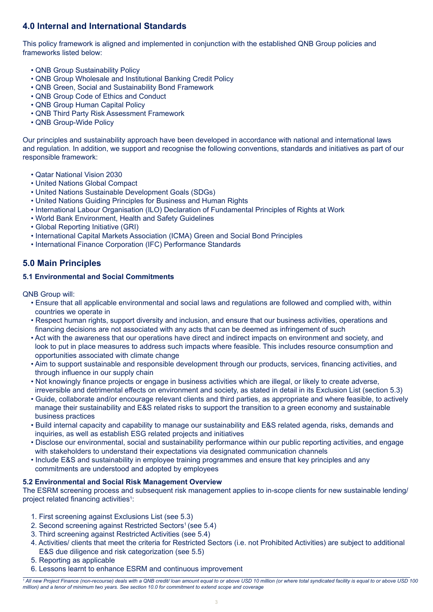# **4.0 Internal and International Standards**

This policy framework is aligned and implemented in conjunction with the established QNB Group policies and frameworks listed below:

- QNB Group Sustainability Policy
- QNB Group Wholesale and Institutional Banking Credit Policy
- QNB Green, Social and Sustainability Bond Framework
- QNB Group Code of Ethics and Conduct
- QNB Group Human Capital Policy
- QNB Third Party Risk Assessment Framework
- QNB Group-Wide Policy

Our principles and sustainability approach have been developed in accordance with national and international laws and regulation. In addition, we support and recognise the following conventions, standards and initiatives as part of our responsible framework:

- Qatar National Vision 2030
- United Nations Global Compact
- United Nations Sustainable Development Goals (SDGs)
- United Nations Guiding Principles for Business and Human Rights
- International Labour Organisation (ILO) Declaration of Fundamental Principles of Rights at Work
- World Bank Environment, Health and Safety Guidelines
- Global Reporting Initiative (GRI)
- International Capital Markets Association (ICMA) Green and Social Bond Principles
- International Finance Corporation (IFC) Performance Standards

# **5.0 Main Principles**

### **5.1 Environmental and Social Commitments**

QNB Group will:

- Ensure that all applicable environmental and social laws and regulations are followed and complied with, within countries we operate in
- Respect human rights, support diversity and inclusion, and ensure that our business activities, operations and financing decisions are not associated with any acts that can be deemed as infringement of such
- Act with the awareness that our operations have direct and indirect impacts on environment and society, and look to put in place measures to address such impacts where feasible. This includes resource consumption and opportunities associated with climate change
- Aim to support sustainable and responsible development through our products, services, financing activities, and through influence in our supply chain
- Not knowingly finance projects or engage in business activities which are illegal, or likely to create adverse, irreversible and detrimental effects on environment and society, as stated in detail in its Exclusion List (section 5.3)
- Guide, collaborate and/or encourage relevant clients and third parties, as appropriate and where feasible, to actively manage their sustainability and E&S related risks to support the transition to a green economy and sustainable business practices
- Build internal capacity and capability to manage our sustainability and E&S related agenda, risks, demands and inquiries, as well as establish ESG related projects and initiatives
- Disclose our environmental, social and sustainability performance within our public reporting activities, and engage with stakeholders to understand their expectations via designated communication channels
- Include E&S and sustainability in employee training programmes and ensure that key principles and any commitments are understood and adopted by employees

#### **5.2 Environmental and Social Risk Management Overview**

The ESRM screening process and subsequent risk management applies to in-scope clients for new sustainable lending/ project related financing activities<sup>1</sup>:

- 1. First screening against Exclusions List (see 5.3)
- 2. Second screening against Restricted Sectors<sup>1</sup> (see 5.4)
- 3. Third screening against Restricted Activities (see 5.4)
- 4. Activities/ clients that meet the criteria for Restricted Sectors (i.e. not Prohibited Activities) are subject to additional E&S due diligence and risk categorization (see 5.5)
- 5. Reporting as applicable
- 6. Lessons learnt to enhance ESRM and continuous improvement

*<sup>1</sup> All new Project Finance (non-recourse) deals with a QNB credit/ loan amount equal to or above USD 10 million (or where total syndicated facility is equal to or above USD 100 million) and a tenor of minimum two years. See section 10.0 for commitment to extend scope and coverage*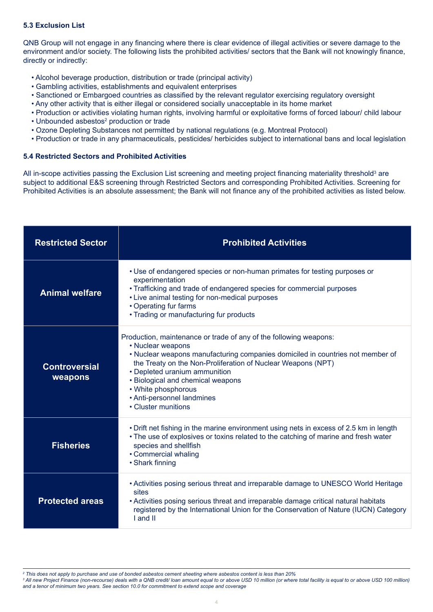#### **5.3 Exclusion List**

QNB Group will not engage in any financing where there is clear evidence of illegal activities or severe damage to the environment and/or society. The following lists the prohibited activities/ sectors that the Bank will not knowingly finance, directly or indirectly:

- Alcohol beverage production, distribution or trade (principal activity)
- Gambling activities, establishments and equivalent enterprises
- Sanctioned or Embargoed countries as classified by the relevant regulator exercising regulatory oversight
- Any other activity that is either illegal or considered socially unacceptable in its home market
- Production or activities violating human rights, involving harmful or exploitative forms of forced labour/ child labour
- Unbounded asbestos<sup>2</sup> production or trade
- Ozone Depleting Substances not permitted by national regulations (e.g. Montreal Protocol)
- Production or trade in any pharmaceuticals, pesticides/ herbicides subject to international bans and local legislation

#### **5.4 Restricted Sectors and Prohibited Activities**

All in-scope activities passing the Exclusion List screening and meeting project financing materiality threshold<sup>3</sup> are subject to additional E&S screening through Restricted Sectors and corresponding Prohibited Activities. Screening for Prohibited Activities is an absolute assessment; the Bank will not finance any of the prohibited activities as listed below.

| <b>Restricted Sector</b>        | <b>Prohibited Activities</b>                                                                                                                                                                                                                                                                                                                                                               |
|---------------------------------|--------------------------------------------------------------------------------------------------------------------------------------------------------------------------------------------------------------------------------------------------------------------------------------------------------------------------------------------------------------------------------------------|
| <b>Animal welfare</b>           | • Use of endangered species or non-human primates for testing purposes or<br>experimentation<br>• Trafficking and trade of endangered species for commercial purposes<br>• Live animal testing for non-medical purposes<br>• Operating fur farms<br>• Trading or manufacturing fur products                                                                                                |
| <b>Controversial</b><br>weapons | Production, maintenance or trade of any of the following weapons:<br>• Nuclear weapons<br>• Nuclear weapons manufacturing companies domiciled in countries not member of<br>the Treaty on the Non-Proliferation of Nuclear Weapons (NPT)<br>• Depleted uranium ammunition<br>• Biological and chemical weapons<br>• White phosphorous<br>• Anti-personnel landmines<br>• Cluster munitions |
| <b>Fisheries</b>                | • Drift net fishing in the marine environment using nets in excess of 2.5 km in length<br>• The use of explosives or toxins related to the catching of marine and fresh water<br>species and shellfish<br>• Commercial whaling<br>• Shark finning                                                                                                                                          |
| <b>Protected areas</b>          | • Activities posing serious threat and irreparable damage to UNESCO World Heritage<br>sites<br>• Activities posing serious threat and irreparable damage critical natural habitats<br>registered by the International Union for the Conservation of Nature (IUCN) Category<br>I and II                                                                                                     |

*<sup>2</sup> This does not apply to purchase and use of bonded asbestos cement sheeting where asbestos content is less than 20%*

*<sup>3</sup> All new Project Finance (non-recourse) deals with a QNB credit/ loan amount equal to or above USD 10 million (or where total facility is equal to or above USD 100 million) and a tenor of minimum two years. See section 10.0 for commitment to extend scope and coverage*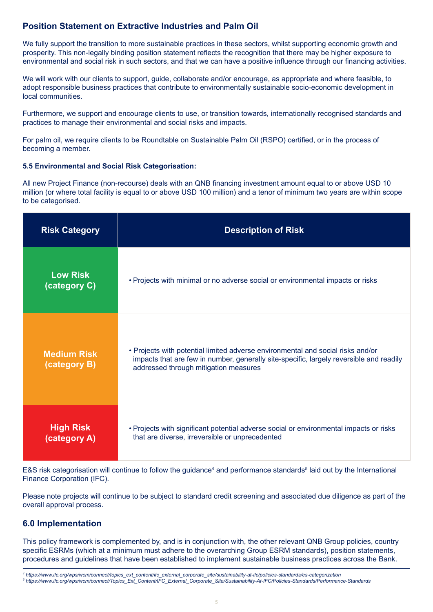# **Position Statement on Extractive Industries and Palm Oil**

We fully support the transition to more sustainable practices in these sectors, whilst supporting economic growth and prosperity. This non-legally binding position statement reflects the recognition that there may be higher exposure to environmental and social risk in such sectors, and that we can have a positive influence through our financing activities.

We will work with our clients to support, quide, collaborate and/or encourage, as appropriate and where feasible, to adopt responsible business practices that contribute to environmentally sustainable socio-economic development in local communities.

Furthermore, we support and encourage clients to use, or transition towards, internationally recognised standards and practices to manage their environmental and social risks and impacts.

For palm oil, we require clients to be Roundtable on Sustainable Palm Oil (RSPO) certified, or in the process of becoming a member.

#### **5.5 Environmental and Social Risk Categorisation:**

All new Project Finance (non-recourse) deals with an QNB financing investment amount equal to or above USD 10 million (or where total facility is equal to or above USD 100 million) and a tenor of minimum two years are within scope to be categorised.

| <b>Risk Category</b>               | <b>Description of Risk</b>                                                                                                                                                                                          |
|------------------------------------|---------------------------------------------------------------------------------------------------------------------------------------------------------------------------------------------------------------------|
| <b>Low Risk</b><br>(category C)    | • Projects with minimal or no adverse social or environmental impacts or risks                                                                                                                                      |
| <b>Medium Risk</b><br>(category B) | • Projects with potential limited adverse environmental and social risks and/or<br>impacts that are few in number, generally site-specific, largely reversible and readily<br>addressed through mitigation measures |
| <b>High Risk</b><br>(category A)   | . Projects with significant potential adverse social or environmental impacts or risks<br>that are diverse, irreversible or unprecedented                                                                           |

E&S risk categorisation will continue to follow the guidance<sup>4</sup> and performance standards<sup>5</sup> laid out by the International Finance Corporation (IFC).

Please note projects will continue to be subject to standard credit screening and associated due diligence as part of the overall approval process.

### **6.0 Implementation**

This policy framework is complemented by, and is in conjunction with, the other relevant QNB Group policies, country specific ESRMs (which at a minimum must adhere to the overarching Group ESRM standards), position statements, procedures and guidelines that have been established to implement sustainable business practices across the Bank.

*<sup>4</sup> https://www.ifc.org/wps/wcm/connect/topics\_ext\_content/ifc\_external\_corporate\_site/sustainability-at-ifc/policies-standards/es-categorization 5 https://www.ifc.org/wps/wcm/connect/Topics\_Ext\_Content/IFC\_External\_Corporate\_Site/Sustainability-At-IFC/Policies-Standards/Performance-Standards*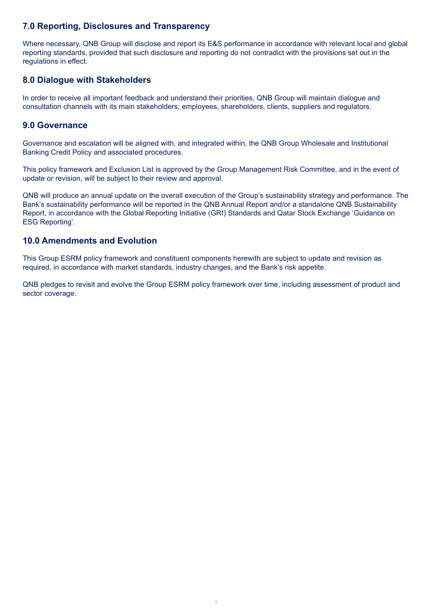# **7.0 Reporting, Disclosures and Transparency**

Where necessary, QNB Group will disclose and report its E&S performance in accordance with relevant local and global reporting standards, provided that such disclosure and reporting do not contradict with the provisions set out in the regulations in effect.

### **8.0 Dialogue with Stakeholders**

In order to receive all important feedback and understand their priorities, QNB Group will maintain dialogue and consultation channels with its main stakeholders; employees, shareholders, clients, suppliers and regulators.

### **9.0 Governance**

Governance and escalation will be aligned with, and integrated within, the QNB Group Wholesale and Institutional Banking Credit Policy and associated procedures.

This policy framework and Exclusion List is approved by the Group Management Risk Committee, and in the event of update or revision, will be subject to their review and approval.

QNB will produce an annual update on the overall execution of the Group's sustainability strategy and performance. The Bank's sustainability performance will be reported in the QNB Annual Report and/or a standalone QNB Sustainability Report, in accordance with the Global Reporting Initiative (GRI) Standards and Qatar Stock Exchange 'Guidance on ESG Reporting'.

### **10.0 Amendments and Evolution**

This Group ESRM policy framework and constituent components herewith are subject to update and revision as required, in accordance with market standards, industry changes, and the Bank's risk appetite.

QNB pledges to revisit and evolve the Group ESRM policy framework over time, including assessment of product and sector coverage.